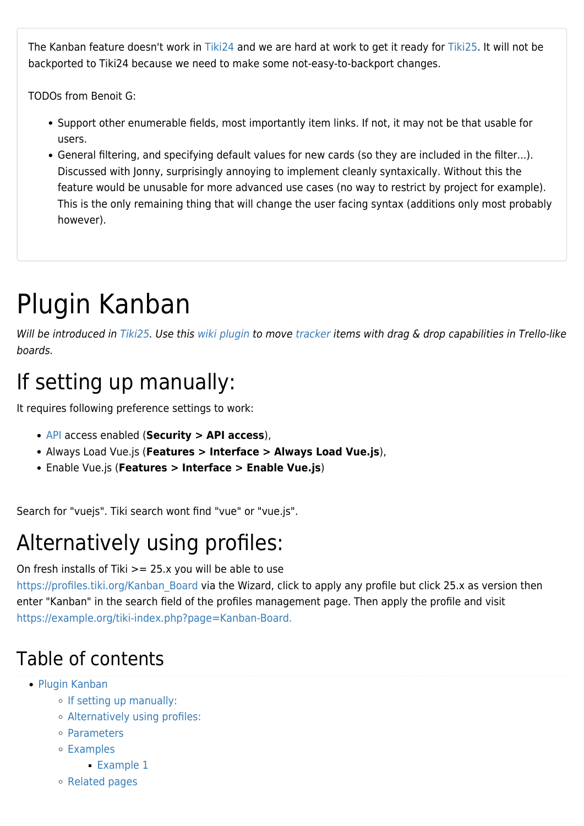The Kanban feature doesn't work in [Tiki24](https://doc.tiki.org/Tiki24) and we are hard at work to get it ready for [Tiki25.](https://doc.tiki.org/Tiki25) It will not be backported to Tiki24 because we need to make some not-easy-to-backport changes.

TODOs from Benoit G:

- Support other enumerable fields, most importantly item links. If not, it may not be that usable for users.
- General filtering, and specifying default values for new cards (so they are included in the filter...). Discussed with Jonny, surprisingly annoying to implement cleanly syntaxically. Without this the feature would be unusable for more advanced use cases (no way to restrict by project for example). This is the only remaining thing that will change the user facing syntax (additions only most probably however).

# Plugin Kanban

Will be introduced in [Tiki25](https://doc.tiki.org/Tiki25). Use this [wiki plugin](https://doc.tiki.org/wiki%20plugin) to move [tracker](https://doc.tiki.org/tracker) items with drag & drop capabilities in Trello-like boards.

# If setting up manually:

It requires following preference settings to work:

- [API](https://doc.tiki.org/API) access enabled (**Security > API access**),
- [Always Load Vue.js](https://doc.tiki.org/tiki-editpage.php?page=Always+Load+Vue.js) (**Features > Interface > Always Load Vue.js**),
- [Enable Vue.js](https://doc.tiki.org/tiki-editpage.php?page=Enable+Vue.js) (**Features > Interface > Enable Vue.js**)

Search for "vuejs". Tiki search wont find "vue" or "vue.js".

### Alternatively using profiles:

On fresh installs of Tiki >= 25.x you will be able to use

[https://profiles.tiki.org/Kanban\\_Board](https://profiles.tiki.org/Kanban_Board) via the Wizard, click to apply any profile but click 25.x as version then enter "Kanban" in the search field of the profiles management page. Then apply the profile and visit <https://example.org/tiki-index.php?page=Kanban-Board.>

#### Table of contents

- [Plugin Kanban](#page--1-0)
	- [If setting up manually:](#page--1-0)
	- [Alternatively using profiles:](#page--1-0)
	- [Parameters](#page--1-0)
	- [Examples](#page--1-0)
		- **[Example 1](#page--1-0)**
	- [Related pages](#page--1-0)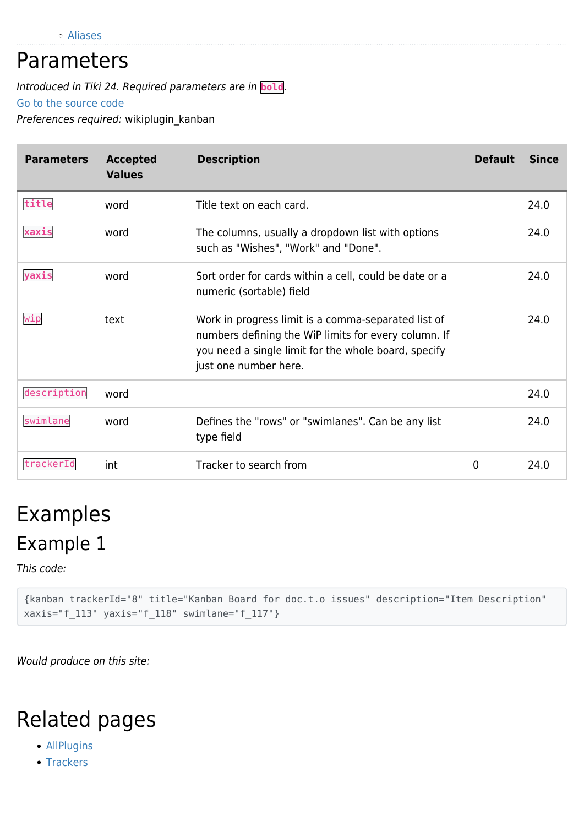[Aliases](#page--1-0)

#### Parameters

Introduced in Tiki 24. Required parameters are in **bold**.

[Go to the source code](https://gitlab.com/tikiwiki/tiki/-/blob/master/lib/wiki-plugins/wikiplugin_kanban.php)

Preferences required: wikiplugin kanban

| <b>Parameters</b> | <b>Accepted</b><br><b>Values</b> | <b>Description</b>                                                                                                                                                                           | <b>Default</b> | <b>Since</b> |
|-------------------|----------------------------------|----------------------------------------------------------------------------------------------------------------------------------------------------------------------------------------------|----------------|--------------|
| title             | word                             | Title text on each card.                                                                                                                                                                     |                | 24.0         |
| xaxis             | word                             | The columns, usually a dropdown list with options<br>such as "Wishes", "Work" and "Done".                                                                                                    |                | 24.0         |
| yaxis             | word                             | Sort order for cards within a cell, could be date or a<br>numeric (sortable) field                                                                                                           |                | 24.0         |
| wip               | text                             | Work in progress limit is a comma-separated list of<br>numbers defining the WiP limits for every column. If<br>you need a single limit for the whole board, specify<br>just one number here. |                | 24.0         |
| description       | word                             |                                                                                                                                                                                              |                | 24.0         |
| swimlane          | word                             | Defines the "rows" or "swimlanes". Can be any list<br>type field                                                                                                                             |                | 24.0         |
| trackerId         | int                              | Tracker to search from                                                                                                                                                                       | 0              | 24.0         |

# Examples Example 1

This code:

{kanban trackerId="8" title="Kanban Board for doc.t.o issues" description="Item Description" xaxis="f\_113" yaxis="f\_118" swimlane="f\_117"}

Would produce on this site:

### Related pages

- [AllPlugins](https://doc.tiki.org/AllPlugins)
- [Trackers](https://doc.tiki.org/Trackers)